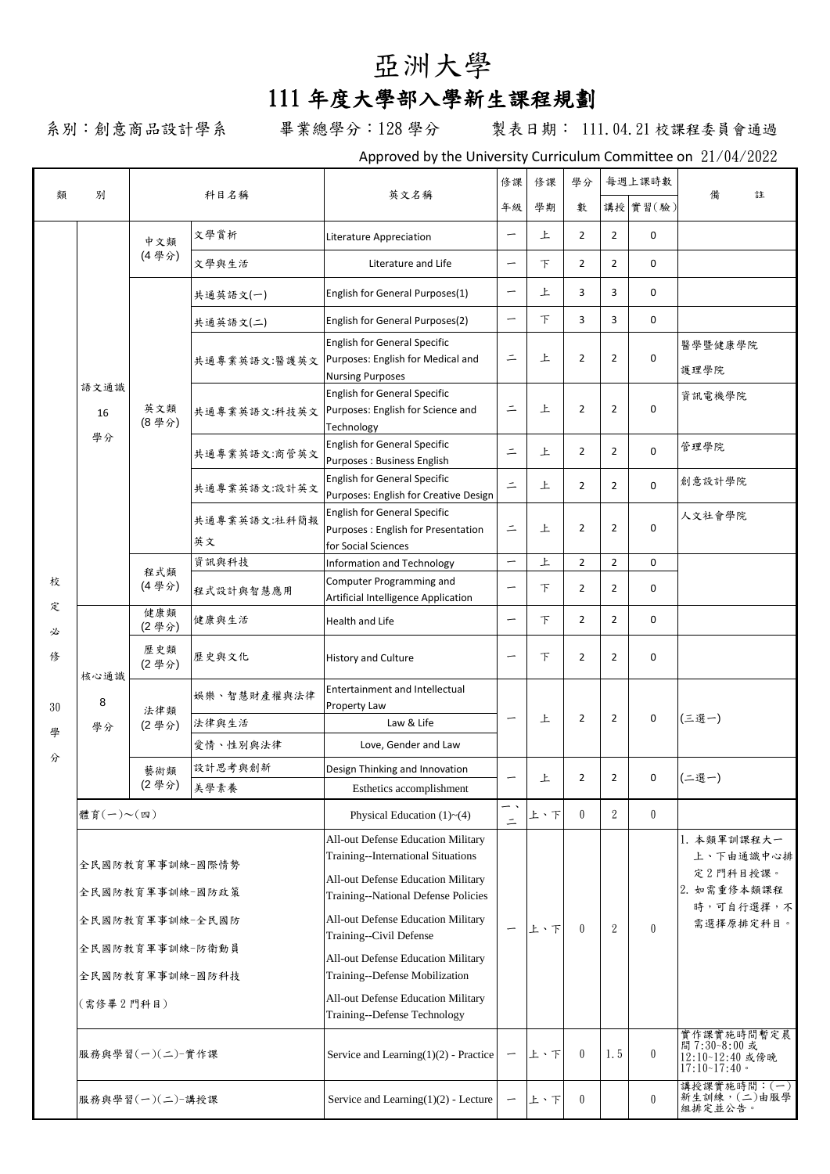# 亞洲大學

## 111 年度大學部入學新生課程規劃

系別:創意商品設計學系 畢業總學分:128 學分 製表日期: 111.04.21 校課程委員會通過

Approved by the University Curriculum Committee on 21/04/2022

| 類      | 別                                                     |                 |                    | 英文名稱                                                                                                                                                                                        |                          | 修課     | 學分             |                | 每週上課時數           | 備<br>註                                                                        |
|--------|-------------------------------------------------------|-----------------|--------------------|---------------------------------------------------------------------------------------------------------------------------------------------------------------------------------------------|--------------------------|--------|----------------|----------------|------------------|-------------------------------------------------------------------------------|
|        |                                                       | 科目名稱            |                    |                                                                                                                                                                                             |                          | 學期     | 數              |                | 講授 實習(驗)         |                                                                               |
|        |                                                       | 中文類             | 文學賞析               | Literature Appreciation                                                                                                                                                                     | $\overline{\phantom{m}}$ | 上      | $\overline{2}$ | $\overline{2}$ | 0                |                                                                               |
|        |                                                       | (4學分)           | 文學與生活              | Literature and Life                                                                                                                                                                         | $\overline{\phantom{m}}$ | 下      | $\overline{2}$ | $\overline{2}$ | 0                |                                                                               |
|        |                                                       |                 | 共通英語文(一)           | English for General Purposes(1)                                                                                                                                                             | $\overline{\phantom{0}}$ | 上      | 3              | 3              | 0                |                                                                               |
|        |                                                       |                 | 共通英語文(二)           | English for General Purposes(2)                                                                                                                                                             | $\overline{\phantom{m}}$ | $\top$ | 3              | 3              | 0                |                                                                               |
|        |                                                       |                 | 共通專業英語文:醫護英文       | <b>English for General Specific</b><br>Purposes: English for Medical and<br><b>Nursing Purposes</b>                                                                                         | $\equiv$                 | 上      | $\overline{2}$ | $\overline{2}$ | 0                | 醫學暨健康學院<br>護理學院                                                               |
|        | 語文通識<br>16                                            | 英文類<br>(8學分)    | 共通專業英語文:科技英文       | <b>English for General Specific</b><br>Purposes: English for Science and<br>Technology                                                                                                      | $\equiv$                 | 上      | $\overline{2}$ | 2              | 0                | 資訊電機學院                                                                        |
|        | 學分                                                    |                 | 共通專業英語文:商管英文       | <b>English for General Specific</b><br>Purposes: Business English                                                                                                                           | $\equiv$                 | 上      | $\overline{2}$ | $\overline{2}$ | $\Omega$         | 管理學院                                                                          |
|        |                                                       |                 | 共通專業英語文:設計英文       | <b>English for General Specific</b><br>Purposes: English for Creative Design                                                                                                                | $\equiv$                 | 上      | $\overline{2}$ | $\overline{2}$ | 0                | 創意設計學院                                                                        |
|        |                                                       |                 | 共通專業英語文:社科簡報<br>英文 | <b>English for General Specific</b><br>Purposes : English for Presentation<br>for Social Sciences                                                                                           | $\equiv$                 | 上      | $\overline{2}$ | 2              | $\Omega$         | 人文社會學院                                                                        |
|        |                                                       |                 | 資訊與科技              | <b>Information and Technology</b>                                                                                                                                                           | $\overline{\phantom{0}}$ | 上      | $\overline{2}$ | $\overline{2}$ | 0                |                                                                               |
| 校      |                                                       | 程式類<br>(4學分)    | 程式設計與智慧應用          | Computer Programming and<br>Artificial Intelligence Application                                                                                                                             | $\overline{\phantom{0}}$ | $\top$ | 2              | 2              | 0                |                                                                               |
| 定<br>必 | 核心通識<br>8<br>學分                                       | 健康類<br>(2學分)    | 健康與生活              | Health and Life                                                                                                                                                                             | $\overline{\phantom{0}}$ | 下      | $\overline{2}$ | $\overline{2}$ | 0                |                                                                               |
| 俢      |                                                       | 歷史類<br>(2學分)    | 歷史與文化              | <b>History and Culture</b>                                                                                                                                                                  | $\overline{\phantom{0}}$ | $\top$ | $\overline{2}$ | $\overline{2}$ | 0                |                                                                               |
| 30     |                                                       | 法律類             | 娱樂、智慧財產權與法律        | <b>Entertainment and Intellectual</b><br>Property Law                                                                                                                                       |                          |        |                |                |                  |                                                                               |
| 學      |                                                       | (2學分)           | 法律與生活              | Law & Life                                                                                                                                                                                  | $\overline{\phantom{0}}$ | 上      | $\overline{2}$ | 2              | 0                | (三選一)                                                                         |
| 分      |                                                       |                 | 愛情、性別與法律           | Love, Gender and Law                                                                                                                                                                        |                          |        |                |                |                  |                                                                               |
|        |                                                       | 藝術類<br>(2學分)    | 設計思考與創新            | Design Thinking and Innovation                                                                                                                                                              |                          | 上      | $\overline{2}$ | $\overline{2}$ | 0                | (二選一)                                                                         |
|        |                                                       |                 | 美學素養               | Esthetics accomplishment                                                                                                                                                                    |                          |        |                |                |                  |                                                                               |
|        | 體育(一)~(四)                                             |                 |                    | Physical Education $(1)$ ~ $(4)$                                                                                                                                                            | — <b>\</b><br>$\equiv$   | 上、下    | $\theta$       | $\mathbf{2}$   | $\boldsymbol{0}$ |                                                                               |
|        | 全民國防教育軍事訓練-國際情勢<br>全民國防教育軍事訓練-國防政策<br>全民國防教育軍事訓練-全民國防 |                 |                    | All-out Defense Education Military<br>Training--International Situations<br>All-out Defense Education Military<br>Training--National Defense Policies<br>All-out Defense Education Military | $\overline{\phantom{0}}$ | 上、下    | $\theta$       | $\overline{2}$ | $\theta$         | 1. 本類軍訓課程大一<br>上、下由通識中心排<br>定2門科目授課。<br>2. 如需重修本類課程<br>時,可自行選擇,不<br>需選擇原排定科目。 |
|        |                                                       | 全民國防教育軍事訓練-防衛動員 |                    | Training--Civil Defense<br>All-out Defense Education Military                                                                                                                               |                          |        |                |                |                  |                                                                               |
|        |                                                       | 全民國防教育軍事訓練-國防科技 |                    | Training--Defense Mobilization                                                                                                                                                              |                          |        |                |                |                  |                                                                               |
|        | (需修畢2門科目)                                             |                 |                    | All-out Defense Education Military<br>Training--Defense Technology                                                                                                                          |                          |        |                |                |                  |                                                                               |
|        | 服務與學習(一)(二)-實作課                                       |                 |                    | Service and Learning $(1)(2)$ - Practice                                                                                                                                                    |                          | 上、下    | $\theta$       | 1.5            | $\bf{0}$         | 實作課實施時間暫定晨<br>間 7:30~8:00 或<br>12:10~12:40 或傍晚<br>17:10~17:40                 |
|        |                                                       | 服務與學習(一)(二)-講授課 |                    | Service and Learning $(1)(2)$ - Lecture                                                                                                                                                     |                          | 上、下    | 0              |                | $\boldsymbol{0}$ | 講授課實施時間: (一)<br>新生訓練,(二)由服學<br>組排定並公告。                                        |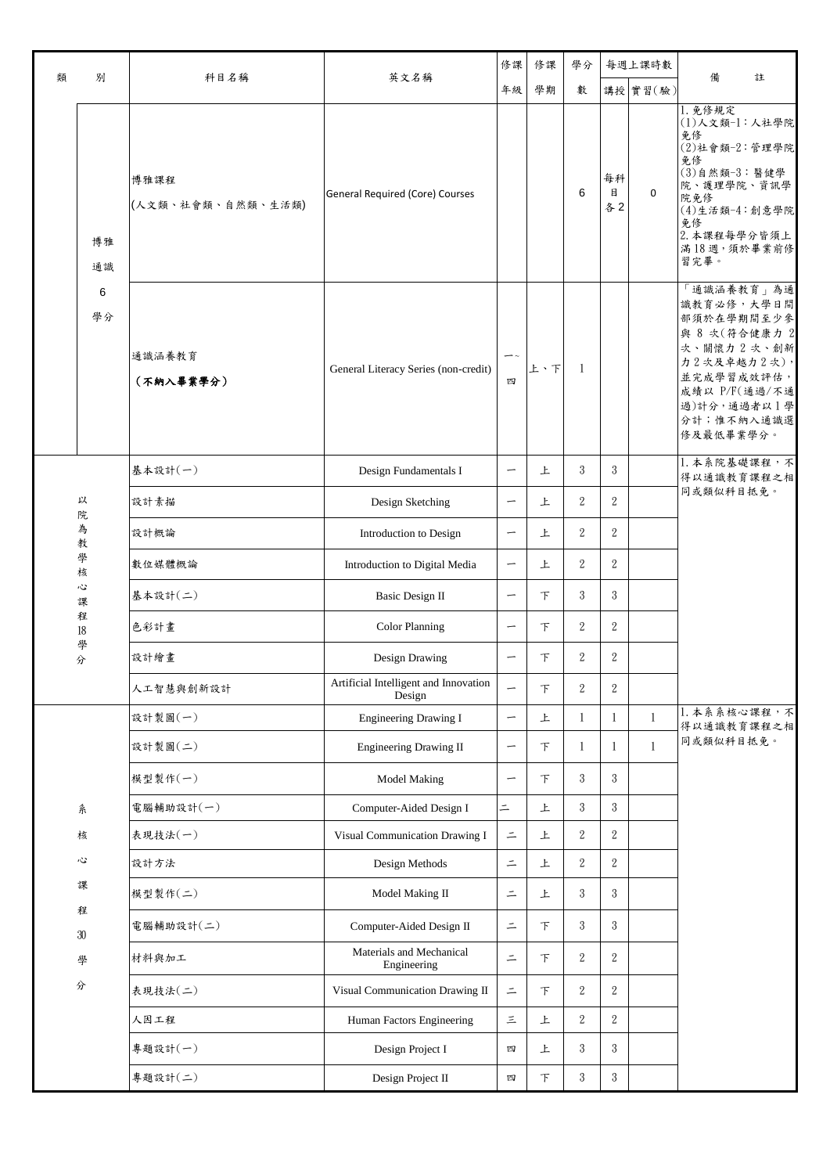| 類 | 別                     | 科目名稱                      | 英文名稱                                            |                          | 修課     | 學分             |                  | 每週上課時數       | 備<br>註                                                                                                                                                                  |
|---|-----------------------|---------------------------|-------------------------------------------------|--------------------------|--------|----------------|------------------|--------------|-------------------------------------------------------------------------------------------------------------------------------------------------------------------------|
|   |                       |                           |                                                 |                          | 學期     | 數              |                  | 講授 實習(驗)     |                                                                                                                                                                         |
|   | 博雅<br>通識              | 博雅課程<br>(人文類、社會類、自然類、生活類) | General Required (Core) Courses                 |                          |        | 6              | 每科<br>目<br>各2    | 0            | 1. 免修規定<br>(1)人文類-1:人社學院<br>免修<br>$(2)$ 社會類- $2$ :管理學院<br>免修<br>$(3)$ 自然類- $3$ : 醫健學<br>院、護理學院、資訊學<br>院免修<br>(4)生活類-4:創意學院<br>免修<br>2. 本課程每學分皆須上<br>滿18週,須於畢業前修<br>習完畢。 |
|   | 6<br>學分               | 通識涵養教育<br>(不納入畢業學分)       | General Literacy Series (non-credit)            | $ \sim$<br>四             | 上、下    | $\overline{1}$ |                  |              | 「通識涵養教育」為通<br>識教育必修,大學日間<br>部須於在學期間至少參<br>與 8 次(符合健康力 2<br>次、關懷力 2次、創新<br>力2次及卓越力2次),<br>並完成學習成效評估,<br>成績以 P/F(通過/不通<br>過)計分,通過者以1學<br>分計;惟不納入通識選<br>修及最低畢業學分。          |
|   |                       | 基本設計(一)                   | Design Fundamentals I                           | $\overline{\phantom{0}}$ | 上      | 3              | 3                |              | 1. 本系院基礎課程,不<br>得以通識教育課程之相                                                                                                                                              |
|   | 以<br>院                | 設計素描                      | Design Sketching                                | $\overline{\phantom{m}}$ | 上      | $\overline{2}$ | $\overline{2}$   |              | 同或類似科目抵免。                                                                                                                                                               |
|   | 為<br>教<br>學<br>核      | 設計概論                      | Introduction to Design                          |                          | 上      | $\overline{2}$ | $\overline{2}$   |              |                                                                                                                                                                         |
|   |                       | 數位媒體概論                    | Introduction to Digital Media                   | $\overline{\phantom{m}}$ | 上      | $\overline{2}$ | $\overline{2}$   |              |                                                                                                                                                                         |
|   | Č<br>課                | 基本設計(二)                   | <b>Basic Design II</b>                          | $\overline{\phantom{m}}$ | $\top$ | 3              | 3                |              |                                                                                                                                                                         |
|   | 程<br>$18\,$<br>學<br>分 | 色彩計畫                      | <b>Color Planning</b>                           | $\overline{\phantom{m}}$ | $\top$ | $\overline{2}$ | $\overline{2}$   |              |                                                                                                                                                                         |
|   |                       | 設計繪畫                      | Design Drawing                                  | $\overline{\phantom{m}}$ | 下      | $\overline{2}$ | $\overline{2}$   |              |                                                                                                                                                                         |
|   |                       | 人工智慧與創新設計                 | Artificial Intelligent and Innovation<br>Design | $\overline{\phantom{0}}$ | $\top$ | $\overline{2}$ | $\sqrt{2}$       |              |                                                                                                                                                                         |
|   |                       | 設計製圖(一)                   | <b>Engineering Drawing I</b>                    | $\overline{\phantom{m}}$ | 上      | $\mathbf{1}$   | 1                | $\mathbf{1}$ | 1. 本系系核心課程,不<br>得以通識教育課程之相                                                                                                                                              |
|   |                       | 設計製圖(二)                   | Engineering Drawing II                          | $\overline{\phantom{m}}$ | $\top$ | $\mathbf{1}$   | $\mathbf{1}$     | $\mathbf{1}$ | 同或類似科目抵免。                                                                                                                                                               |
|   |                       | 模型製作(一)                   | <b>Model Making</b>                             | $\overline{\phantom{m}}$ | $\top$ | 3              | 3                |              |                                                                                                                                                                         |
|   | 系                     | 電腦輔助設計(一)                 | Computer-Aided Design I                         | $=$                      | 上      | 3              | $\mathbf{3}$     |              |                                                                                                                                                                         |
|   | 核                     | 表現技法(一)                   | Visual Communication Drawing I                  | $\equiv$                 | 上      | $\overline{2}$ | $\overline{2}$   |              |                                                                                                                                                                         |
|   | Ş                     | 設計方法                      | Design Methods                                  | $\equiv$                 | 上      | $\overline{2}$ | $\overline{2}$   |              |                                                                                                                                                                         |
|   | 課                     | 模型製作(二)                   | Model Making II                                 | $\equiv$                 | 上      | 3              | 3                |              |                                                                                                                                                                         |
|   | 程<br>$30\,$           | 電腦輔助設計(二)                 | Computer-Aided Design II                        | $\equiv$                 | $\top$ | 3              | 3                |              |                                                                                                                                                                         |
|   | 學                     | 材料與加工                     | Materials and Mechanical<br>Engineering         | $\equiv$                 | 下      | $\overline{2}$ | $\boldsymbol{2}$ |              |                                                                                                                                                                         |
|   | 分                     | 表現技法(二)                   | Visual Communication Drawing II                 | $\equiv$                 | $\top$ | $\overline{2}$ | $\overline{2}$   |              |                                                                                                                                                                         |
|   |                       | 人因工程                      | Human Factors Engineering                       | $\equiv$                 | 上      | $\overline{2}$ | $\overline{2}$   |              |                                                                                                                                                                         |
|   |                       | 專題設計(一)                   | Design Project I                                | 四                        | 上      | 3              | 3                |              |                                                                                                                                                                         |
|   |                       | 專題設計(二)                   | Design Project II                               | 四                        | 下      | 3              | $\sqrt{3}$       |              |                                                                                                                                                                         |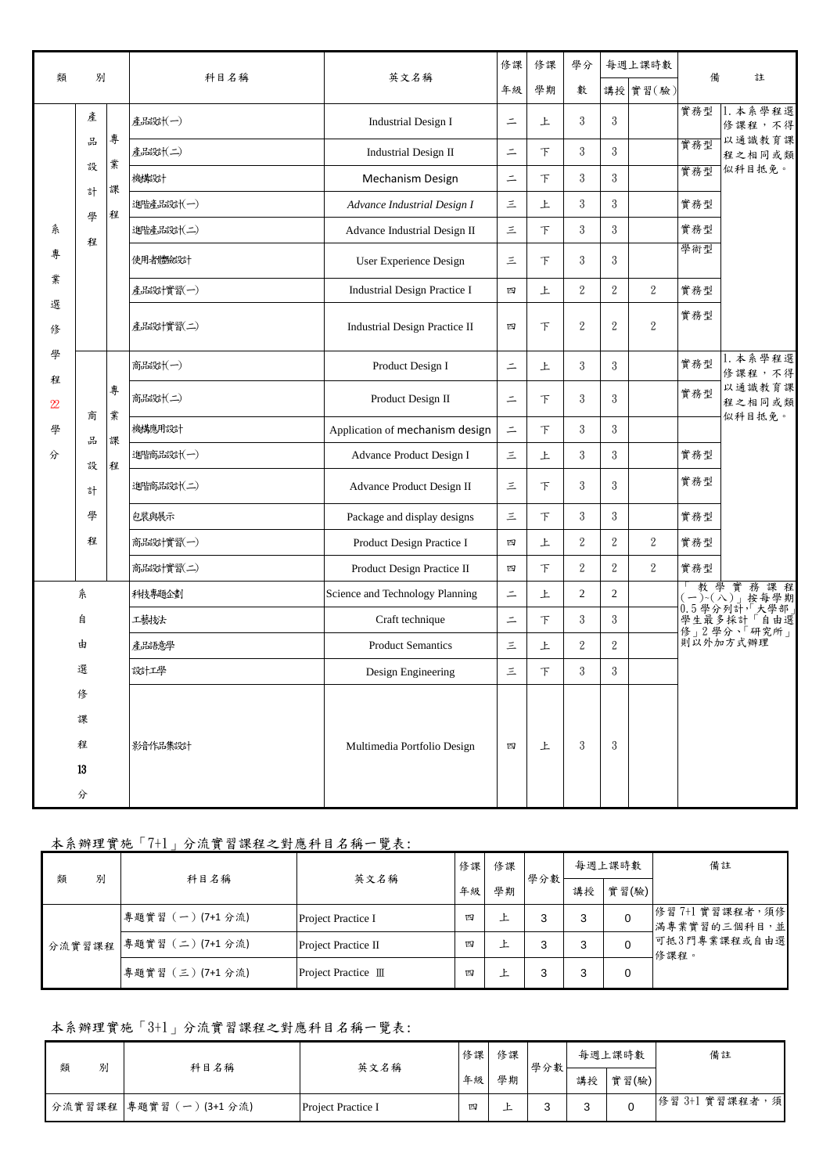| 類                                                                                                                       | 別                |        | 科目名稱      | 英文名稱                                 | 修課               | 修課       | 學分             |                  | 每週上課時數           | 備   | 註                              |                           |   |   |                |                |                  |
|-------------------------------------------------------------------------------------------------------------------------|------------------|--------|-----------|--------------------------------------|------------------|----------|----------------|------------------|------------------|-----|--------------------------------|---------------------------|---|---|----------------|----------------|------------------|
|                                                                                                                         |                  |        |           |                                      | 年級               | 學期       | 數              |                  | 講授 實習(驗)         |     |                                |                           |   |   |                |                |                  |
|                                                                                                                         | 產                | 專      | 産品設計(一)   | <b>Industrial Design I</b>           | $\equiv$         | 上        | 3              | 3                |                  | 實務型 | 本系學程選<br>修課程,不得<br>以通識教育課      |                           |   |   |                |                |                  |
|                                                                                                                         | 品                | 業      | 産品設計(二)   | <b>Industrial Design II</b>          | $\equiv$         | 下        | 3              | 3                |                  | 實務型 | 程之相同或類                         |                           |   |   |                |                |                  |
|                                                                                                                         | 設<br>計           | 課      | 機構設計      | Mechanism Design                     | $\equiv$         | 下        | 3              | 3                |                  | 實務型 | 似科目抵免。                         |                           |   |   |                |                |                  |
|                                                                                                                         | 學                | 程      | 進階達品設計(一) | Advance Industrial Design I          | 三                | 上        | 3              | 3                |                  | 實務型 |                                |                           |   |   |                |                |                  |
| 糸                                                                                                                       | 程                |        | 進階產品設計(二) | Advance Industrial Design II         | 三                | $\top$   | 3              | 3                |                  | 實務型 |                                |                           |   |   |                |                |                  |
| 專                                                                                                                       |                  |        | 使用者體驗設計   | User Experience Design               | 三                | $\top$   | 3              | 3                |                  | 學術型 |                                |                           |   |   |                |                |                  |
| 業                                                                                                                       |                  |        | 産品設計實習(一) | Industrial Design Practice I         | 四                | 上        | $\overline{2}$ | $\boldsymbol{2}$ | $\boldsymbol{2}$ | 實務型 |                                |                           |   |   |                |                |                  |
| 選<br>俢                                                                                                                  |                  |        | 産品設計實習(二) | <b>Industrial Design Practice II</b> | 四                | $\top$   | $\overline{2}$ | $\overline{2}$   | $\overline{2}$   | 實務型 |                                |                           |   |   |                |                |                  |
| 學                                                                                                                       | 商                |        |           | 商品設計(一)                              | Product Design I | $\equiv$ | 上              | 3                | 3                |     | 實務型                            | 1. 本系學程選<br>修課程,不得        |   |   |                |                |                  |
| 程<br>$\mathfrak{B}% _{T}=\mathfrak{B}_{T}\!\left( a,b\right) ,\ \mathfrak{B}_{T}=\mathfrak{B}_{T}\!\left( a,b\right) ,$ |                  | 專<br>業 | 商品設計(二)   | Product Design II                    | $\equiv$         | $\top$   | 3              | 3                |                  | 實務型 | 以通識教育課<br>程之相同或類<br>似科目抵免。     |                           |   |   |                |                |                  |
| 學                                                                                                                       | 品                | 課<br>程 | 機構應用設計    | Application of mechanism design      | $\equiv$         | $\top$   | 3              | 3                |                  |     |                                |                           |   |   |                |                |                  |
| 分                                                                                                                       | 設<br>計<br>學<br>程 |        | 進階商品設計(一) | Advance Product Design I             | 三                | 上        | 3              | 3                |                  | 實務型 |                                |                           |   |   |                |                |                  |
|                                                                                                                         |                  |        | 進階商品設計(二) | Advance Product Design II            | 三                | $\top$   | 3              | 3                |                  | 實務型 |                                |                           |   |   |                |                |                  |
|                                                                                                                         |                  |        | 包裝與展示     | Package and display designs          | 三                | 下        | 3              | 3                |                  | 實務型 |                                |                           |   |   |                |                |                  |
|                                                                                                                         |                  |        |           |                                      |                  |          |                |                  |                  |     | 商品設計實習(一)                      | Product Design Practice I | 四 | 上 | $\overline{2}$ | $\overline{2}$ | $\boldsymbol{2}$ |
|                                                                                                                         |                  |        | 商品設計實習(二) | Product Design Practice II           | 四                | $\top$   | $\overline{2}$ | $\overline{2}$   | $\overline{2}$   | 實務型 |                                |                           |   |   |                |                |                  |
|                                                                                                                         | 糸                |        | 科技專題企劃    | Science and Technology Planning      | $\equiv$         | 上        | $\mathfrak{2}$ | $\overline{2}$   |                  |     | 教學實務課程<br>$(-)$ (一) (八) , 按每學期 |                           |   |   |                |                |                  |
|                                                                                                                         | 自                |        | 工藝技法      | Craft technique                      | $\equiv$         | $\top$   | 3              | 3                |                  |     | 學生最多採計「自由選<br>修」2學分、「研究所」      |                           |   |   |                |                |                  |
|                                                                                                                         | 由                |        | 產品語意學     | <b>Product Semantics</b>             | 三                | 上        | $\overline{2}$ | $\,2\,$          |                  |     | 則以外加方式辦理                       |                           |   |   |                |                |                  |
|                                                                                                                         | 選                |        | 設計工學      | Design Engineering                   | 三                | 下        | 3              | 3                |                  |     |                                |                           |   |   |                |                |                  |
|                                                                                                                         | 俢                |        |           |                                      |                  |          |                |                  |                  |     |                                |                           |   |   |                |                |                  |
|                                                                                                                         | 課                |        |           |                                      |                  |          |                |                  |                  |     |                                |                           |   |   |                |                |                  |
|                                                                                                                         | 程                |        | 影音作品集設計   | Multimedia Portfolio Design          | 四                | 上        | 3              | 3                |                  |     |                                |                           |   |   |                |                |                  |
|                                                                                                                         | 13               |        |           |                                      |                  |          |                |                  |                  |     |                                |                           |   |   |                |                |                  |
|                                                                                                                         | 分                |        |           |                                      |                  |          |                |                  |                  |     |                                |                           |   |   |                |                |                  |

### 本系辦理實施「7+1」分流實習課程之對應科目名稱一覽表:

| 類 | 科目名稱                                                 | 英文名稱                | 修課 | 修課 | 學分數 |                                   | 每週上課時數 | 備註                   |
|---|------------------------------------------------------|---------------------|----|----|-----|-----------------------------------|--------|----------------------|
| 別 |                                                      |                     | 年級 | 學期 |     | 講授                                | 實習(驗)  |                      |
|   | 專題實習 (一)(7+1分流)<br>Project Practice I<br>四<br>໋<br>ᅩ |                     | 3  | 3  | 0   | 修習7+1實習課程者,須修 <br>  滿專業實習的三個科目, 並 |        |                      |
|   | 分流實習課程 專題實習 (二) (7+1分流)                              | Project Practice II | 四  |    | 3   | 3                                 |        | 可抵3門專業課程或自由選<br>修課程。 |
|   | 專題實習 (三) (7+1分流)                                     | Project Practice Ⅲ  | 四  | ᅩ  | 3   | 3                                 | 0      |                      |

## 本系辦理實施「3+1」分流實習課程之對應科目名稱一覽表:

| 類 | 別 | 科目名稱                   | 英文名稱                      | 修課 | 修課 | 學分數 | 每週上課時數 |       | 備註             |
|---|---|------------------------|---------------------------|----|----|-----|--------|-------|----------------|
|   |   |                        |                           | 年級 | 學期 |     | 講授     | 實習(驗) |                |
|   |   | 分流實習課程  專題實習(一)(3+1分流) | <b>Project Practice I</b> | 四  | –  | c   | $\sim$ |       | 修習 3+1 實習課程者,須 |